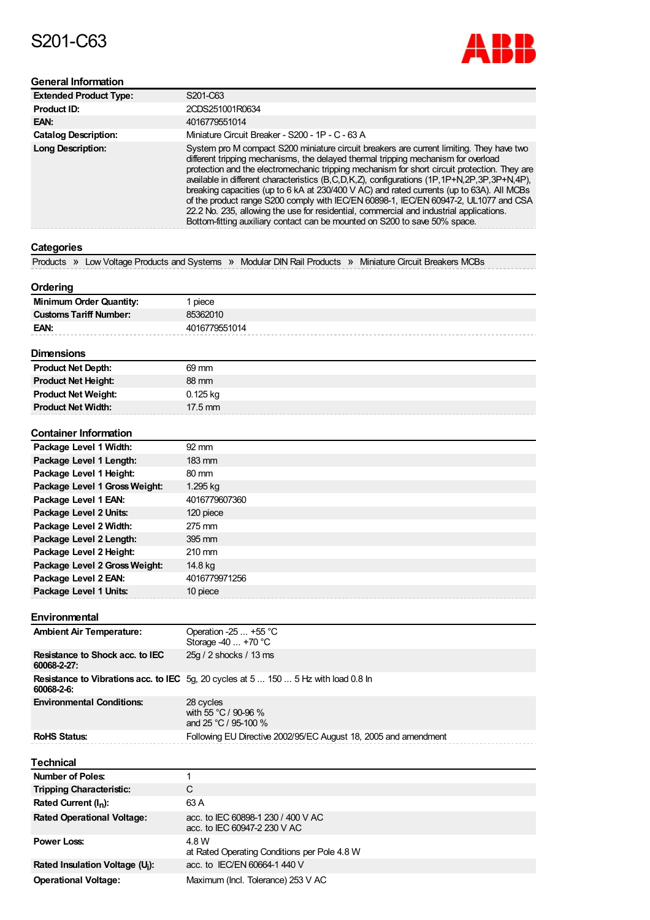# S201-C63



# **General Information**

| <b>Extended Product Type:</b> | S201-C63                                                                                                                                                                                                                                                                                                                                                                                                                                                                                                                                                                                                                                                                                                                                         |
|-------------------------------|--------------------------------------------------------------------------------------------------------------------------------------------------------------------------------------------------------------------------------------------------------------------------------------------------------------------------------------------------------------------------------------------------------------------------------------------------------------------------------------------------------------------------------------------------------------------------------------------------------------------------------------------------------------------------------------------------------------------------------------------------|
| Product ID:                   | 2CDS251001R0634                                                                                                                                                                                                                                                                                                                                                                                                                                                                                                                                                                                                                                                                                                                                  |
| EAN:                          | 4016779551014                                                                                                                                                                                                                                                                                                                                                                                                                                                                                                                                                                                                                                                                                                                                    |
| <b>Catalog Description:</b>   | Miniature Circuit Breaker - S200 - 1P - C - 63 A                                                                                                                                                                                                                                                                                                                                                                                                                                                                                                                                                                                                                                                                                                 |
| <b>Long Description:</b>      | System pro M compact S200 miniature circuit breakers are current limiting. They have two<br>different tripping mechanisms, the delayed thermal tripping mechanism for overload<br>protection and the electromechanic tripping mechanism for short circuit protection. They are<br>available in different characteristics (B,C,D,K,Z), configurations (1P, 1P+N, 2P, 3P, 3P+N, 4P),<br>breaking capacities (up to 6 kA at 230/400 V AC) and rated currents (up to 63A). All MCBs<br>of the product range S200 comply with IEC/EN 60898-1, IEC/EN 60947-2, UL1077 and CSA<br>22.2 No. 235, allowing the use for residential, commercial and industrial applications.<br>Bottom-fitting auxiliary contact can be mounted on S200 to save 50% space. |

# **Categories**

|  |  | Products » Low Voltage Products and Systems » Modular DIN Rail Products » Miniature Circuit Breakers MCBs |  |  |  |  |
|--|--|-----------------------------------------------------------------------------------------------------------|--|--|--|--|
|--|--|-----------------------------------------------------------------------------------------------------------|--|--|--|--|

## **Ordering**

| <b>Minimum Order Quantity:</b> | piece         |
|--------------------------------|---------------|
| <b>Customs Tariff Number:</b>  | 85362010      |
| EAN:                           | 4016779551014 |
|                                |               |

## **Dimensions**

| <b>Product Net Depth:</b>  | 69 mm             |
|----------------------------|-------------------|
| <b>Product Net Height:</b> | 88 mm             |
| <b>Product Net Weight:</b> | 0.125 kg          |
| <b>Product Net Width:</b>  | $17.5 \text{ mm}$ |

#### **Container Information**

| Package Level 1 Width:        | $92 \, \text{mm}$ |
|-------------------------------|-------------------|
| Package Level 1 Length:       | $183 \text{ mm}$  |
| Package Level 1 Height:       | $80 \text{ mm}$   |
| Package Level 1 Gross Weight: | 1.295 kg          |
| Package Level 1 EAN:          | 4016779607360     |
| Package Level 2 Units:        | 120 piece         |
| Package Level 2 Width:        | 275 mm            |
| Package Level 2 Length:       | $395 \text{ mm}$  |
| Package Level 2 Height:       | $210 \text{ mm}$  |
| Package Level 2 Gross Weight: | 14.8 kg           |
| Package Level 2 EAN:          | 4016779971256     |
| Package Level 1 Units:        | 10 piece          |

**Environmental**

| <b>Ambient Air Temperature:</b>                | Operation -25 $\dots$ +55 °C<br>Storage $-40+70$ °C                                        |
|------------------------------------------------|--------------------------------------------------------------------------------------------|
| Resistance to Shock acc. to IEC<br>60068-2-27: | 25g / 2 shocks / 13 ms                                                                     |
| 60068-2-6:                                     | <b>Resistance to Vibrations acc. to IEC</b> 5g, 20 cycles at 5  150  5 Hz with load 0.8 ln |
| <b>Environmental Conditions:</b>               | 28 cycles<br>with 55 °C / 90-96 %<br>and 25 °C / 95-100 $%$                                |
| <b>RoHS Status:</b>                            | Following EU Directive 2002/95/EC August 18, 2005 and amendment                            |

#### **Technical**

| 1 <del>601 11 110</del> 21                  |                                                                    |
|---------------------------------------------|--------------------------------------------------------------------|
| Number of Poles:                            |                                                                    |
| <b>Tripping Characteristic:</b>             | С                                                                  |
| Rated Current $(I_n)$ :                     | 63 A                                                               |
| <b>Rated Operational Voltage:</b>           | acc. to IEC 60898-1 230 / 400 V AC<br>acc. to IEC 60947-2 230 V AC |
| <b>Power Loss:</b>                          | 4.8 W<br>at Rated Operating Conditions per Pole 4.8 W              |
| Rated Insulation Voltage (U <sub>i</sub> ): | acc. to IEC/EN 60664-1 440 V                                       |
| <b>Operational Voltage:</b>                 | Maximum (Incl. Tolerance) 253 V AC                                 |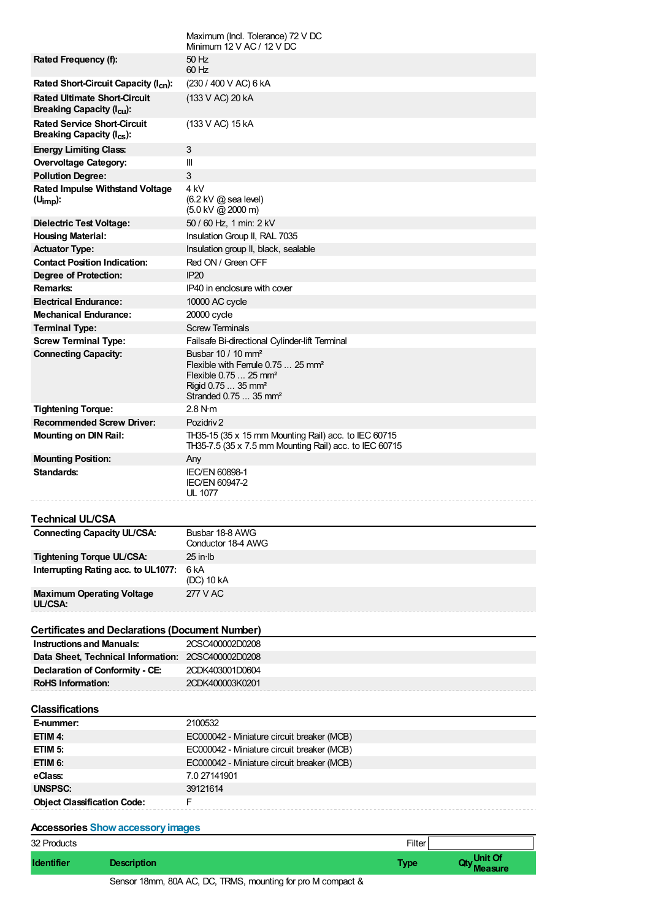| 32 Products                                                    | Filter                                                                              |
|----------------------------------------------------------------|-------------------------------------------------------------------------------------|
| <b>Accessories Show accessory images</b>                       |                                                                                     |
| <b>Object Classification Code:</b>                             | F                                                                                   |
|                                                                | 39121614                                                                            |
| <b>UNSPSC:</b>                                                 |                                                                                     |
| eClass:                                                        | 7.0 27141901                                                                        |
| ETIM 6:                                                        | EC000042 - Miniature circuit breaker (MCB)                                          |
| ETIM <sub>5</sub> :                                            | EC000042 - Miniature circuit breaker (MCB)                                          |
| ETIM 4:                                                        | EC000042 - Miniature circuit breaker (MCB)                                          |
| E-nummer:                                                      | 2100532                                                                             |
| <b>Classifications</b>                                         |                                                                                     |
|                                                                |                                                                                     |
| <b>RoHS Information:</b>                                       | 2CDK400003K0201                                                                     |
| Declaration of Conformity - CE:                                | 2CDK403001D0604                                                                     |
| Data Sheet, Technical Information: 2CSC400002D0208             |                                                                                     |
| <b>Instructions and Manuals:</b>                               | 2CSC400002D0208                                                                     |
| <b>Certificates and Declarations (Document Number)</b>         |                                                                                     |
|                                                                |                                                                                     |
| <b>Maximum Operating Voltage</b><br>UL/CSA:                    | 277 V AC                                                                            |
|                                                                | (DC) 10 kA                                                                          |
| Interrupting Rating acc. to UL1077:                            | 6 <sub>k</sub> A                                                                    |
| Tightening Torque UL/CSA:                                      | $25$ in $lb$                                                                        |
|                                                                | Conductor 18-4 AWG                                                                  |
| <b>Connecting Capacity UL/CSA:</b>                             | Busbar 18-8 AWG                                                                     |
| Technical UL/CSA                                               |                                                                                     |
|                                                                |                                                                                     |
|                                                                | UL 1077                                                                             |
| Standards:                                                     | IEC/EN 60898-1<br><b>IEC/EN 60947-2</b>                                             |
| <b>Mounting Position:</b>                                      | Any                                                                                 |
|                                                                | TH35-7.5 (35 x 7.5 mm Mounting Rail) acc. to IEC 60715                              |
| <b>Mounting on DIN Rail:</b>                                   | TH35-15 (35 x 15 mm Mounting Rail) acc. to IEC 60715                                |
| <b>Recommended Screw Driver:</b>                               | Pozidriy 2                                                                          |
| <b>Tightening Torque:</b>                                      | 2.8 N·m                                                                             |
|                                                                | Stranded 0.75  35 mm <sup>2</sup>                                                   |
|                                                                | Rigid 0.75  35 mm <sup>2</sup>                                                      |
|                                                                | Flexible with Ferrule 0.75  25 mm <sup>2</sup><br>Flexible 0.75  25 mm <sup>2</sup> |
| <b>Connecting Capacity:</b>                                    | Busbar 10 / 10 $\text{mm}^2$                                                        |
| <b>Screw Terminal Type:</b>                                    | Failsafe Bi-directional Cylinder-lift Terminal                                      |
| <b>Terminal Type:</b>                                          | <b>Screw Terminals</b>                                                              |
| <b>Mechanical Endurance:</b>                                   | 20000 cycle                                                                         |
| <b>Electrical Endurance:</b>                                   | 10000 AC cycle                                                                      |
| <b>Remarks:</b>                                                | IP40 in enclosure with cover                                                        |
| Degree of Protection:                                          | <b>IP20</b>                                                                         |
| <b>Contact Position Indication:</b>                            | Red ON / Green OFF                                                                  |
| <b>Actuator Type:</b>                                          | Insulation group II, black, sealable                                                |
| <b>Housing Material:</b>                                       | Insulation Group II, RAL 7035                                                       |
| <b>Dielectric Test Voltage:</b>                                | 50 / 60 Hz, 1 min: 2 kV                                                             |
|                                                                | (5.0 kV @ 2000 m)                                                                   |
| <b>Rated Impulse Withstand Voltage</b><br>$(U_{\text{imp}})$ : | 4 kV<br>$(6.2 \text{ kV} \text{ @ sea level})$                                      |
| <b>Pollution Degree:</b>                                       | 3                                                                                   |
| Overvoltage Category:                                          | Ш                                                                                   |
| <b>Energy Limiting Class:</b>                                  | $\sqrt{3}$                                                                          |
| Breaking Capacity $(I_{cs})$ :                                 |                                                                                     |
| <b>Rated Service Short-Circuit</b>                             | (133 V AC) 15 kA                                                                    |
| <b>Breaking Capacity (I<sub>cu</sub>):</b>                     |                                                                                     |
| <b>Rated Ultimate Short-Circuit</b>                            | (133 V AC) 20 kA                                                                    |
| Rated Short-Circuit Capacity (I <sub>cn</sub> ):               | (230 / 400 V AC) 6 kA                                                               |
| Rated Frequency (f):                                           | 50 Hz<br>60 Hz                                                                      |
|                                                                | Minimum $12 \vee AC / 12 \vee DC$                                                   |
|                                                                | Maximum (Incl. Tolerance) 72 V DC                                                   |

| 32 Products       |                                                             | Filter      |                        |
|-------------------|-------------------------------------------------------------|-------------|------------------------|
| <b>Identifier</b> | <b>Description</b>                                          | <b>Type</b> | Oty Unit Of<br>Measure |
|                   | Sensor 18mm, 80A AC, DC, TRMS, mounting for pro M compact & |             |                        |